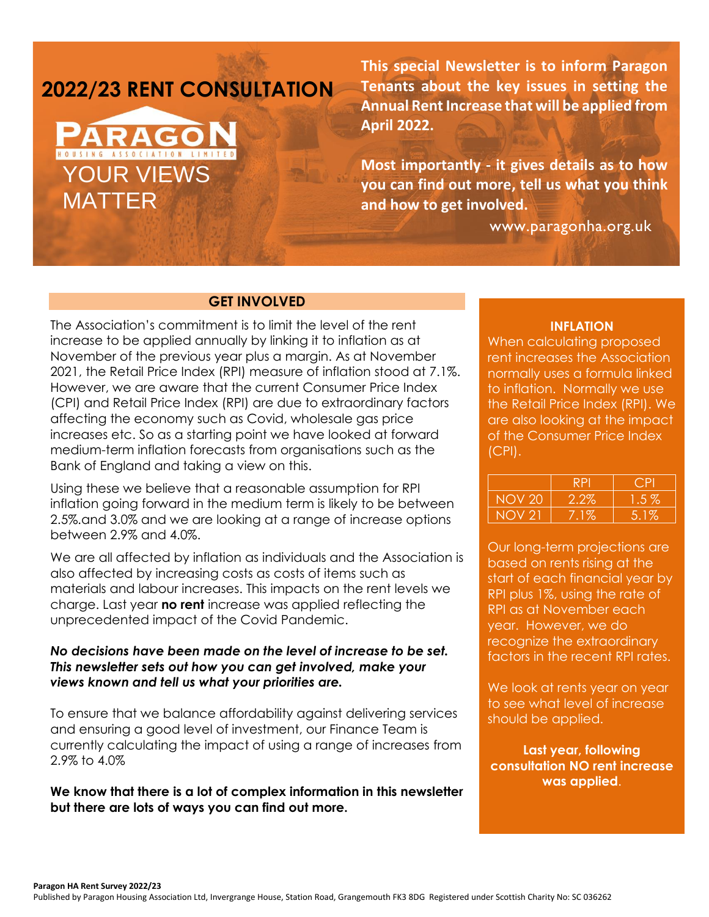# **2022/23 RENT CONSULTATION**

# HOUSING ASSOCIATION LIMITED YOUR VIEWS MATTER

**This special Newsletter is to inform Paragon Tenants about the key issues in setting the Annual Rent Increase that will be applied from April 2022.**

**Most importantly - it gives details as to how you can find out more, tell us what you think and how to get involved.**

www.paragonha.org.uk

# **GET INVOLVED**

The Association's commitment is to limit the level of the rent increase to be applied annually by linking it to inflation as at November of the previous year plus a margin. As at November 2021, the Retail Price Index (RPI) measure of inflation stood at 7.1%. However, we are aware that the current Consumer Price Index (CPI) and Retail Price Index (RPI) are due to extraordinary factors affecting the economy such as Covid, wholesale gas price increases etc. So as a starting point we have looked at forward medium-term inflation forecasts from organisations such as the Bank of England and taking a view on this.

Using these we believe that a reasonable assumption for RPI inflation going forward in the medium term is likely to be between 2.5%.and 3.0% and we are looking at a range of increase options between 2.9% and 4.0%.

We are all affected by inflation as individuals and the Association is also affected by increasing costs as costs of items such as materials and labour increases. This impacts on the rent levels we charge. Last year **no rent** increase was applied reflecting the unprecedented impact of the Covid Pandemic.

## *No decisions have been made on the level of increase to be set. This newsletter sets out how you can get involved, make your views known and tell us what your priorities are.*

To ensure that we balance affordability against delivering services and ensuring a good level of investment, our Finance Team is currently calculating the impact of using a range of increases from 2.9% to 4.0%

**We know that there is a lot of complex information in this newsletter but there are lots of ways you can find out more.**

### **INFLATION**

When calculating proposed rent increases the Association normally uses a formula linked to inflation. Normally we use the Retail Price Index (RPI). We are also looking at the impact of the Consumer Price Index (CPI).

| RЬ          |        |
|-------------|--------|
| 2.2%        | l .5 % |
| $1\%$<br>⁄ο | 5.1%   |

Our long-term projections are based on rents rising at the start of each financial year by RPI plus 1%, using the rate of RPI as at November each year. However, we do recognize the extraordinary factors in the recent RPI rates.

We look at rents year on year to see what level of increase should be applied.

**Last year, following consultation NO rent increase was applied**.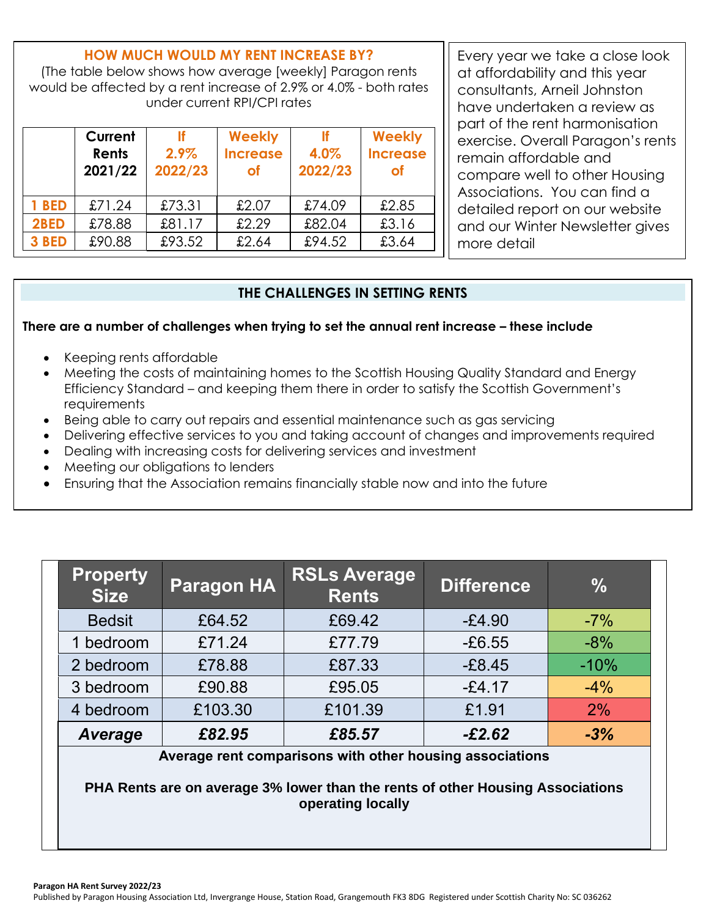# **HOW MUCH WOULD MY RENT INCREASE BY?**

(The table below shows how average [weekly] Paragon rents would be affected by a rent increase of 2.9% or 4.0% - both rates under current RPI/CPI rates

|       | Current<br>Rents<br>2021/22 | 2.9%<br>2022/23 | <b>Weekly</b><br><b>Increase</b><br><b>of</b> | 4.0%<br>2022/23 | <b>Weekly</b><br><b>Increase</b><br>оf |
|-------|-----------------------------|-----------------|-----------------------------------------------|-----------------|----------------------------------------|
| 1 BED | £71.24                      | £73.31          | £2.07                                         | £74.09          | £2.85                                  |
| 2BED  | £78.88                      | £81.17          | £2.29                                         | £82.04          | £3.16                                  |
| 3 BED | £90.88                      | £93.52          | £2.64                                         | £94.52          | £3.64                                  |

Pompare wom to on tor noosing Associations. You can find a Every year we take a close look at affordability and this year consultants, Arneil Johnston have undertaken a review as part of the rent harmonisation exercise. Overall Paragon's rents remain affordable and compare well to other Housing detailed report on our website and our Winter Newsletter gives more detail

# **THE CHALLENGES IN SETTING RENTS**

## **There are a number of challenges when trying to set the annual rent increase – these include**

- Keeping rents affordable
- Meeting the costs of maintaining homes to the Scottish Housing Quality Standard and Energy Efficiency Standard – and keeping them there in order to satisfy the Scottish Government's requirements
- Being able to carry out repairs and essential maintenance such as gas servicing
- Delivering effective services to you and taking account of changes and improvements required
- Dealing with increasing costs for delivering services and investment
- Meeting our obligations to lenders
- Ensuring that the Association remains financially stable now and into the future

| <b>Property</b><br><b>Size</b> | <b>Paragon HA</b> | <b>RSLs Average</b><br><b>Rents</b> | <b>Difference</b> | $\frac{0}{0}$ |
|--------------------------------|-------------------|-------------------------------------|-------------------|---------------|
| <b>Bedsit</b>                  | £64.52            | £69.42                              | $-£4.90$          | $-7%$         |
| 1 bedroom                      | £71.24            | £77.79                              | $-£6.55$          | $-8%$         |
| 2 bedroom                      | £78.88            | £87.33                              | $-E8.45$          | $-10%$        |
| 3 bedroom                      | £90.88            | £95.05                              | $-£4.17$          | $-4%$         |
| 4 bedroom                      | £103.30           | £101.39                             | £1.91             | 2%            |
| Average                        | £82.95            | £85.57                              | $-£2.62$          | $-3%$         |

**Average rent comparisons with other housing associations**

**PHA Rents are on average 3% lower than the rents of other Housing Associations operating locally**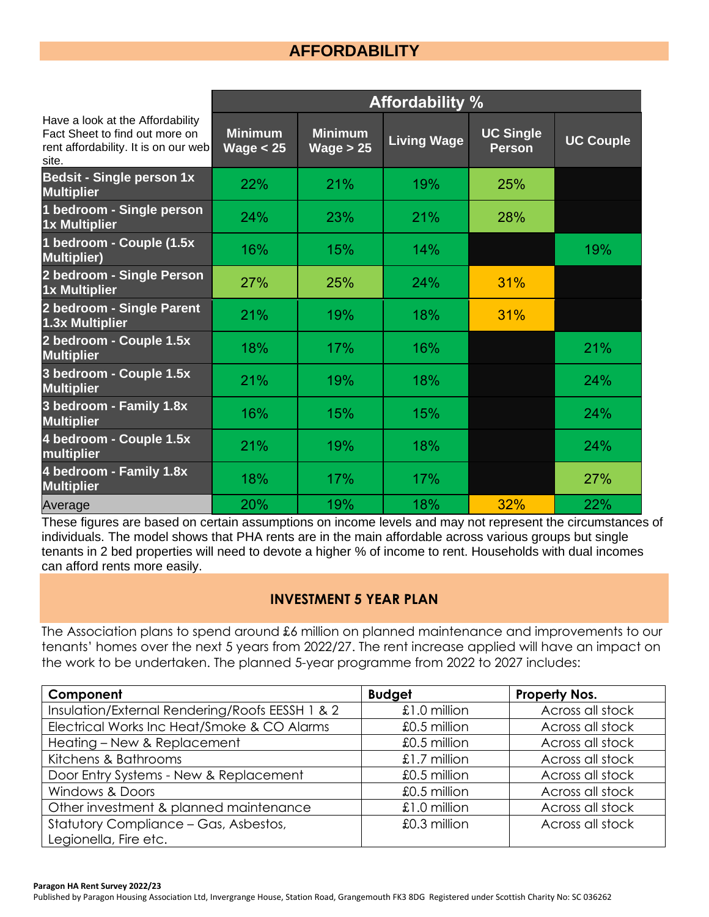# **AFFORDABILITY**

|                                                                                                                     | <b>Affordability %</b>        |                               |                    |                                   |                  |
|---------------------------------------------------------------------------------------------------------------------|-------------------------------|-------------------------------|--------------------|-----------------------------------|------------------|
| Have a look at the Affordability<br>Fact Sheet to find out more on<br>rent affordability. It is on our web<br>site. | <b>Minimum</b><br>Wage $< 25$ | <b>Minimum</b><br>Wage $> 25$ | <b>Living Wage</b> | <b>UC Single</b><br><b>Person</b> | <b>UC Couple</b> |
| <b>Bedsit - Single person 1x</b><br><b>Multiplier</b>                                                               | 22%                           | 21%                           | 19%                | 25%                               |                  |
| 1 bedroom - Single person<br><b>1x Multiplier</b>                                                                   | 24%                           | 23%                           | 21%                | 28%                               |                  |
| 1 bedroom - Couple (1.5x<br><b>Multiplier)</b>                                                                      | 16%                           | 15%                           | 14%                |                                   | 19%              |
| 2 bedroom - Single Person<br>1x Multiplier                                                                          | 27%                           | 25%                           | 24%                | 31%                               |                  |
| 2 bedroom - Single Parent<br>1.3x Multiplier                                                                        | 21%                           | 19%                           | 18%                | 31%                               |                  |
| 2 bedroom - Couple 1.5x<br><b>Multiplier</b>                                                                        | 18%                           | 17%                           | 16%                |                                   | 21%              |
| 3 bedroom - Couple 1.5x<br><b>Multiplier</b>                                                                        | 21%                           | 19%                           | 18%                |                                   | 24%              |
| 3 bedroom - Family 1.8x<br><b>Multiplier</b>                                                                        | 16%                           | 15%                           | 15%                |                                   | 24%              |
| 4 bedroom - Couple 1.5x<br>multiplier                                                                               | 21%                           | 19%                           | 18%                |                                   | 24%              |
| 4 bedroom - Family 1.8x<br><b>Multiplier</b>                                                                        | 18%                           | 17%                           | 17%                |                                   | 27%              |
| Average                                                                                                             | 20%                           | 19%                           | 18%                | 32%                               | 22%              |

These figures are based on certain assumptions on income levels and may not represent the circumstances of individuals. The model shows that PHA rents are in the main affordable across various groups but single tenants in 2 bed properties will need to devote a higher % of income to rent. Households with dual incomes can afford rents more easily.

# **INVESTMENT 5 YEAR PLAN**

The Association plans to spend around £6 million on planned maintenance and improvements to our tenants' homes over the next 5 years from 2022/27. The rent increase applied will have an impact on the work to be undertaken. The planned 5-year programme from 2022 to 2027 includes:

| Component                                       | <b>Budget</b> | Property Nos.    |
|-------------------------------------------------|---------------|------------------|
| Insulation/External Rendering/Roofs EESSH 1 & 2 | £1.0 million  | Across all stock |
| Electrical Works Inc Heat/Smoke & CO Alarms     | £0.5 million  | Across all stock |
| Heating - New & Replacement                     | £0.5 million  | Across all stock |
| Kitchens & Bathrooms                            | £1.7 million  | Across all stock |
| Door Entry Systems - New & Replacement          | £0.5 million  | Across all stock |
| <b>Windows &amp; Doors</b>                      | £0.5 million  | Across all stock |
| Other investment & planned maintenance          | £1.0 million  | Across all stock |
| Statutory Compliance - Gas, Asbestos,           | £0.3 million  | Across all stock |
| Legionella, Fire etc.                           |               |                  |

Published by Paragon Housing Association Ltd, Invergrange House, Station Road, Grangemouth FK3 8DG Registered under Scottish Charity No: SC 036262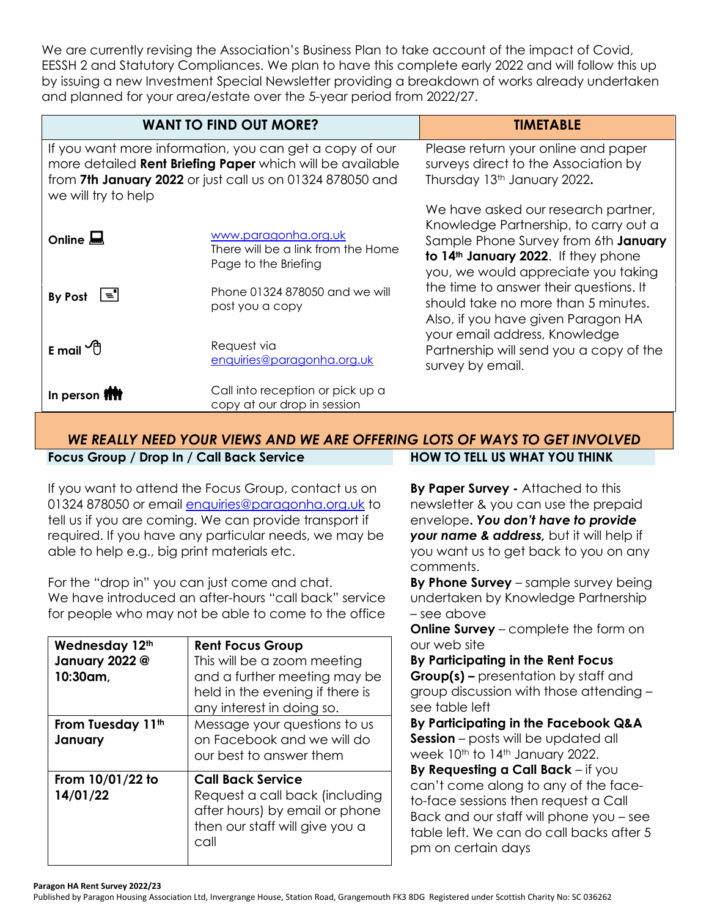We are currently revising the Association's Business Plan to take account of the impact of Covid, EESSH 2 and Statutory Compliances. We plan to have this complete early 2022 and will follow this up by issuing a new Investment Special Newsletter providing a breakdown of works already undertaken and planned for your area/estate over the 5-year period from 2022/27.

|                                                                                                                                                                                                          | <b>WANT TO FIND OUT MORE?</b>                                                      | <b>TIMETABLE</b>                                                                                                                                                                                               |
|----------------------------------------------------------------------------------------------------------------------------------------------------------------------------------------------------------|------------------------------------------------------------------------------------|----------------------------------------------------------------------------------------------------------------------------------------------------------------------------------------------------------------|
| If you want more information, you can get a copy of our<br>more detailed Rent Briefing Paper which will be available<br>from 7th January 2022 or just call us on 01324 878050 and<br>we will try to help |                                                                                    | Please return your online and paper<br>surveys direct to the Association by<br>Thursday 13th January 2022.                                                                                                     |
| Online $\blacksquare$                                                                                                                                                                                    | www.paragonha.org.uk<br>There will be a link from the Home<br>Page to the Briefing | We have asked our research partner,<br>Knowledge Partnership, to carry out a<br>Sample Phone Survey from 6th January<br>to 14 <sup>th</sup> January 2022. If they phone<br>you, we would appreciate you taking |
| $\equiv$ 1<br>By Post                                                                                                                                                                                    | Phone 01324 878050 and we will<br>post you a copy                                  | the time to answer their questions. It<br>should take no more than 5 minutes.<br>Also, if you have given Paragon HA                                                                                            |
| E mail $\oplus$                                                                                                                                                                                          | Request via<br>enquiries@paragonha.org.uk                                          | your email address, Knowledge<br>Partnership will send you a copy of the<br>survey by email.                                                                                                                   |
| In person <b>fift</b>                                                                                                                                                                                    | Call into reception or pick up a<br>copy at our drop in session                    |                                                                                                                                                                                                                |

#### *WE REALLY NEED YOUR VIEWS AND WE ARE OFFERING LOTS OF WAYS TO GET INVOLVED* **Focus Group / Drop In / Call Back Service HOW TO TELL US WHAT YOU THINK**

If you want to attend the Focus Group, contact us on 01324 878050 or email [enquiries@paragonha.org.uk](mailto:enquiries@paragonha.org.uk) to tell us if you are coming. We can provide transport if required. If you have any particular needs, we may be able to help e.g., big print materials etc.

For the "drop in" you can just come and chat. We have introduced an after-hours "call back" service for people who may not be able to come to the office

| Wednesday 12th<br>January 2022 @<br>10:30am, | <b>Rent Focus Group</b><br>This will be a zoom meeting<br>and a further meeting may be<br>held in the evening if there is<br>any interest in doing so. |
|----------------------------------------------|--------------------------------------------------------------------------------------------------------------------------------------------------------|
| From Tuesday 11th<br>January                 | Message your questions to us<br>on Facebook and we will do<br>our best to answer them                                                                  |
| From 10/01/22 to<br>14/01/22                 | <b>Call Back Service</b><br>Request a call back (including<br>after hours) by email or phone<br>then our staff will give you a<br>call                 |

**By Paper Survey -** Attached to this newsletter & you can use the prepaid envelope**.** *You don't have to provide your name & address,* but it will help if you want us to get back to you on any comments.

**By Phone Survey** – sample survey being undertaken by Knowledge Partnership – see above

**Online Survey** – complete the form on our web site

**By Participating in the Rent Focus Group(s) –** presentation by staff and group discussion with those attending – see table left

**By Participating in the Facebook Q&A Session** – posts will be updated all week 10th to 14th January 2022.

**By Requesting a Call Back** – if you can't come along to any of the faceto-face sessions then request a Call Back and our staff will phone you – see table left. We can do call backs after 5 pm on certain days

#### **Paragon HA Rent Survey 2022/23**

Published by Paragon Housing Association Ltd, Invergrange House, Station Road, Grangemouth FK3 8DG Registered under Scottish Charity No: SC 036262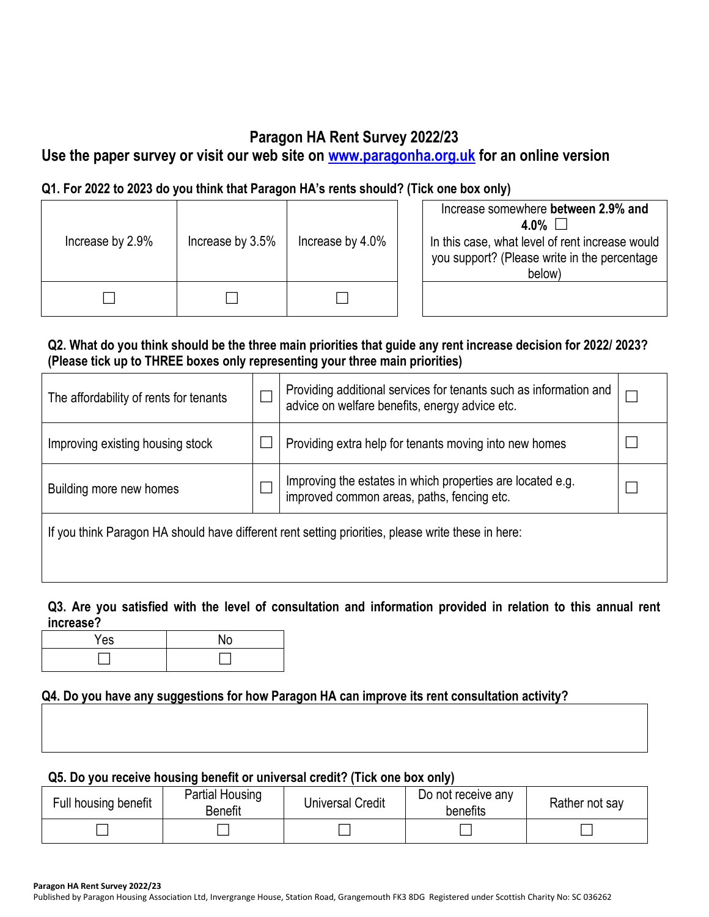# **Paragon HA Rent Survey 2022/23**

**Use the paper survey or visit our web site on [www.paragonha.org.uk](http://www.paragonha.org.uk/) for an online version**

# **Q1. For 2022 to 2023 do you think that Paragon HA's rents should? (Tick one box only)**

| Increase by 2.9% | Increase by 3.5% | Increase by 4.0% | Increase somewhere between 2.9% and<br>4.0% $\Box$<br>In this case, what level of rent increase would<br>you support? (Please write in the percentage<br>below) |
|------------------|------------------|------------------|-----------------------------------------------------------------------------------------------------------------------------------------------------------------|
|                  |                  |                  |                                                                                                                                                                 |

# **Q2. What do you think should be the three main priorities that guide any rent increase decision for 2022/ 2023? (Please tick up to THREE boxes only representing your three main priorities)**

| The affordability of rents for tenants                                                             |  | Providing additional services for tenants such as information and<br>advice on welfare benefits, energy advice etc. |  |  |  |
|----------------------------------------------------------------------------------------------------|--|---------------------------------------------------------------------------------------------------------------------|--|--|--|
| Improving existing housing stock                                                                   |  | Providing extra help for tenants moving into new homes                                                              |  |  |  |
| Building more new homes                                                                            |  | Improving the estates in which properties are located e.g.<br>improved common areas, paths, fencing etc.            |  |  |  |
| If you think Paragon HA should have different rent setting priorities, please write these in here: |  |                                                                                                                     |  |  |  |

# **Q3. Are you satisfied with the level of consultation and information provided in relation to this annual rent increase?**

| $\mathbf{v}_{\mathbf{a}}$<br>r es |  |
|-----------------------------------|--|
|                                   |  |

# **Q4. Do you have any suggestions for how Paragon HA can improve its rent consultation activity?**

# **Q5. Do you receive housing benefit or universal credit? (Tick one box only)**

| Full housing benefit | <b>Partial Housing</b><br><b>Benefit</b> | <b>Universal Credit</b> | Do not receive any<br>benefits | Rather not say |
|----------------------|------------------------------------------|-------------------------|--------------------------------|----------------|
|                      |                                          |                         |                                |                |

**Paragon HA Rent Survey 2022/23**

Published by Paragon Housing Association Ltd, Invergrange House, Station Road, Grangemouth FK3 8DG Registered under Scottish Charity No: SC 036262